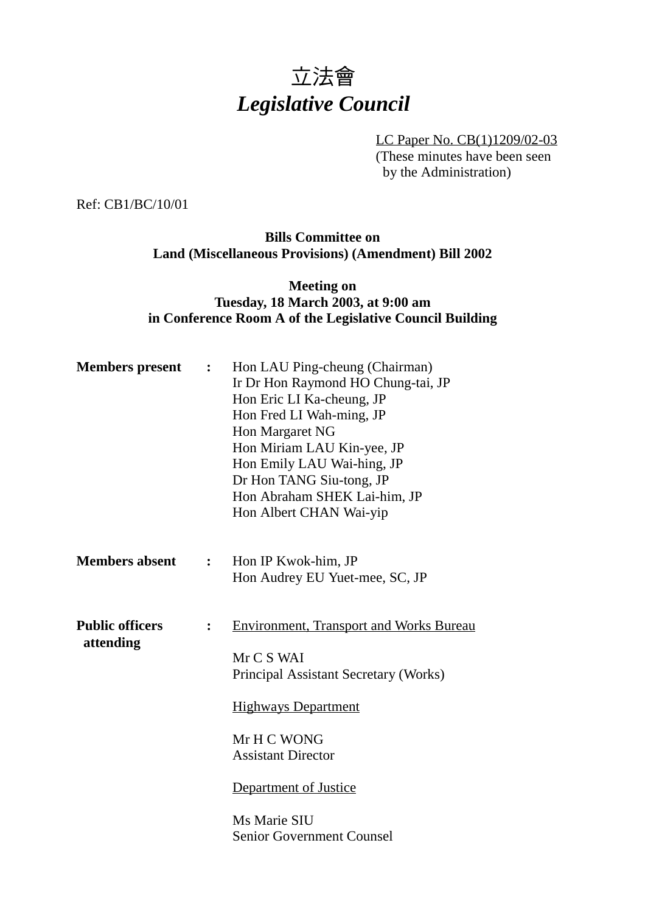# *立法會 Legislative Council*

LC Paper No. CB(1)1209/02-03 (These minutes have been seen by the Administration)

Ref: CB1/BC/10/01

#### **Bills Committee on Land (Miscellaneous Provisions) (Amendment) Bill 2002**

#### **Meeting on Tuesday, 18 March 2003, at 9:00 am in Conference Room A of the Legislative Council Building**

| <b>Members</b> present              | $\ddot{\cdot}$ | Hon LAU Ping-cheung (Chairman)<br>Ir Dr Hon Raymond HO Chung-tai, JP<br>Hon Eric LI Ka-cheung, JP<br>Hon Fred LI Wah-ming, JP<br>Hon Margaret NG<br>Hon Miriam LAU Kin-yee, JP<br>Hon Emily LAU Wai-hing, JP<br>Dr Hon TANG Siu-tong, JP<br>Hon Abraham SHEK Lai-him, JP<br>Hon Albert CHAN Wai-yip |
|-------------------------------------|----------------|-----------------------------------------------------------------------------------------------------------------------------------------------------------------------------------------------------------------------------------------------------------------------------------------------------|
| <b>Members absent</b>               | $\ddot{\cdot}$ | Hon IP Kwok-him, JP<br>Hon Audrey EU Yuet-mee, SC, JP                                                                                                                                                                                                                                               |
| <b>Public officers</b><br>attending | $\ddot{\cdot}$ | <b>Environment, Transport and Works Bureau</b><br>Mr C S WAI<br>Principal Assistant Secretary (Works)<br><b>Highways Department</b><br>Mr H C WONG<br><b>Assistant Director</b><br><b>Department of Justice</b><br>Ms Marie SIU                                                                     |
|                                     |                | <b>Senior Government Counsel</b>                                                                                                                                                                                                                                                                    |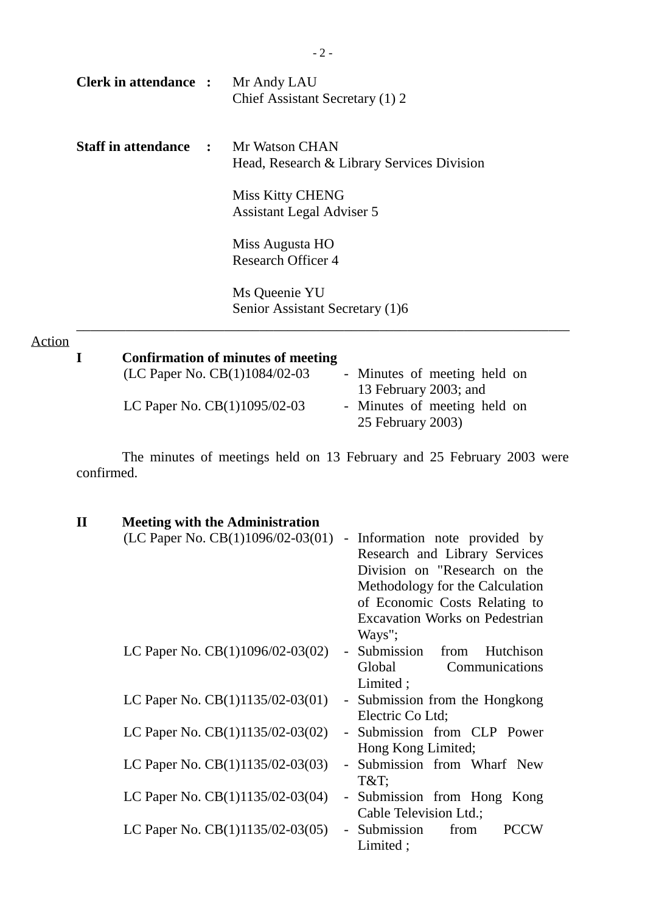| <b>Clerk in attendance : Mr Andy LAU</b> |              | Chief Assistant Secretary (1) 2                                     |
|------------------------------------------|--------------|---------------------------------------------------------------------|
| <b>Staff in attendance</b>               | $\mathbf{L}$ | <b>Mr Watson CHAN</b><br>Head, Research & Library Services Division |
|                                          |              | <b>Miss Kitty CHENG</b><br>Assistant Legal Adviser 5                |
|                                          |              | Miss Augusta HO<br><b>Research Officer 4</b>                        |
|                                          |              | Ms Queenie YU<br>Senior Assistant Secretary (1)6                    |
| Action                                   |              | Confirmation of minutes of meeting                                  |

| <b>Confirmation of minutes of meeting</b> |                                                   |
|-------------------------------------------|---------------------------------------------------|
| (LC Paper No. $CB(1)1084/02-03$ )         | - Minutes of meeting held on                      |
|                                           | 13 February 2003; and                             |
| LC Paper No. $CB(1)1095/02-03$            | - Minutes of meeting held on<br>25 February 2003) |

The minutes of meetings held on 13 February and 25 February 2003 were confirmed.

| $\mathbf H$ | <b>Meeting with the Administration</b> |                                       |  |
|-------------|----------------------------------------|---------------------------------------|--|
|             | (LC Paper No. $CB(1)1096/02-03(01)$    | - Information note provided by        |  |
|             |                                        | Research and Library Services         |  |
|             |                                        | Division on "Research on the          |  |
|             |                                        | Methodology for the Calculation       |  |
|             |                                        | of Economic Costs Relating to         |  |
|             |                                        | <b>Excavation Works on Pedestrian</b> |  |
|             |                                        | Ways";                                |  |
|             | LC Paper No. $CB(1)1096/02-03(02)$     | - Submission from<br>Hutchison        |  |
|             |                                        | Global<br>Communications              |  |
|             |                                        | Limited;                              |  |
|             | LC Paper No. $CB(1)1135/02-03(01)$     | - Submission from the Hongkong        |  |
|             |                                        | Electric Co Ltd;                      |  |
|             | LC Paper No. CB(1)1135/02-03(02)       | - Submission from CLP Power           |  |
|             |                                        | Hong Kong Limited;                    |  |
|             | LC Paper No. $CB(1)1135/02-03(03)$     | - Submission from Wharf New           |  |
|             |                                        | T&T                                   |  |
|             | LC Paper No. $CB(1)1135/02-03(04)$     | Submission from Hong Kong<br>$\equiv$ |  |
|             |                                        | Cable Television Ltd.;                |  |
|             | LC Paper No. $CB(1)1135/02-03(05)$     | Submission<br>from<br><b>PCCW</b>     |  |
|             |                                        | Limited;                              |  |
|             |                                        |                                       |  |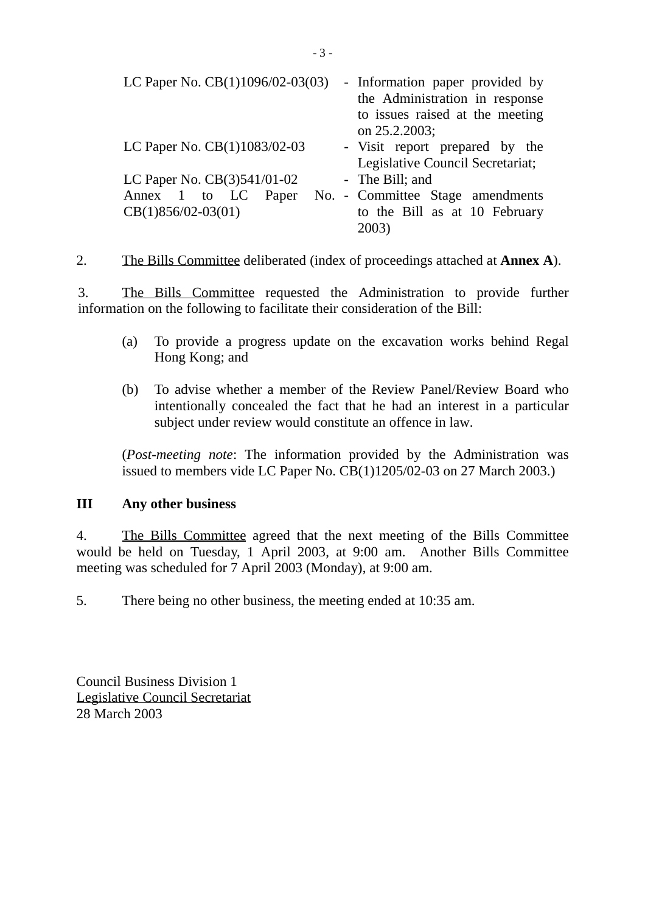| LC Paper No. $CB(1)1096/02-03(03)$ | - Information paper provided by<br>the Administration in response<br>to issues raised at the meeting<br>on 25.2.2003; |
|------------------------------------|-----------------------------------------------------------------------------------------------------------------------|
| LC Paper No. CB(1)1083/02-03       | - Visit report prepared by the<br>Legislative Council Secretariat;                                                    |
| LC Paper No. CB(3)541/01-02        | - The Bill; and                                                                                                       |
| Annex 1 to LC Paper                | No. - Committee Stage amendments                                                                                      |
| $CB(1)856/02-03(01)$               | to the Bill as at 10 February                                                                                         |
|                                    | 2003)                                                                                                                 |

2. The Bills Committee deliberated (index of proceedings attached at **Annex A**).

3. The Bills Committee requested the Administration to provide further information on the following to facilitate their consideration of the Bill:

- (a) To provide a progress update on the excavation works behind Regal Hong Kong; and
- (b) To advise whether a member of the Review Panel/Review Board who intentionally concealed the fact that he had an interest in a particular subject under review would constitute an offence in law.

(*Post-meeting note*: The information provided by the Administration was issued to members vide LC Paper No. CB(1)1205/02-03 on 27 March 2003.)

### **III Any other business**

4. The Bills Committee agreed that the next meeting of the Bills Committee would be held on Tuesday, 1 April 2003, at 9:00 am. Another Bills Committee meeting was scheduled for 7 April 2003 (Monday), at 9:00 am.

5. There being no other business, the meeting ended at 10:35 am.

Council Business Division 1 Legislative Council Secretariat 28 March 2003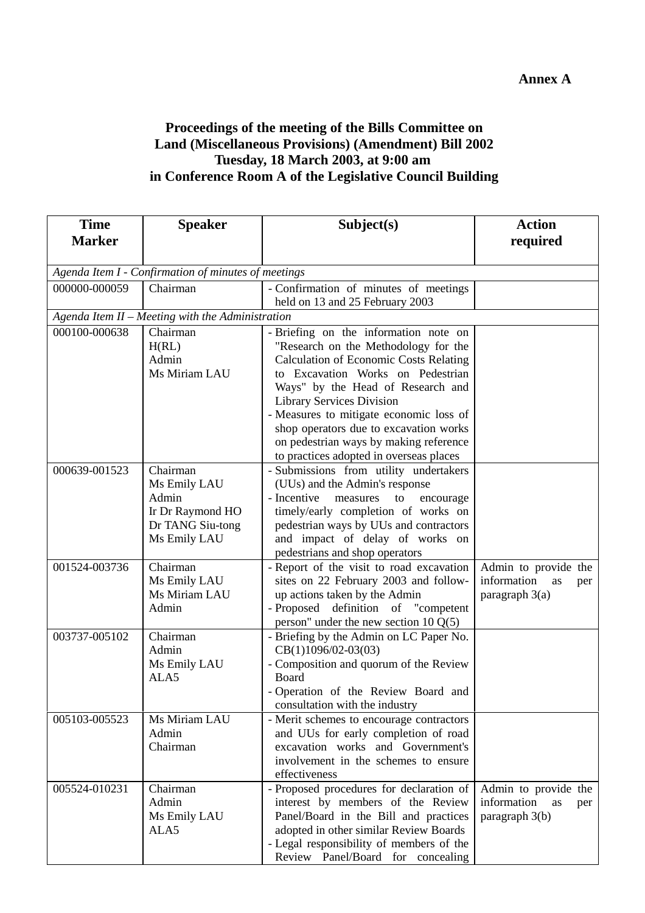## **Proceedings of the meeting of the Bills Committee on Land (Miscellaneous Provisions) (Amendment) Bill 2002 Tuesday, 18 March 2003, at 9:00 am in Conference Room A of the Legislative Council Building**

| <b>Time</b>   | <b>Speaker</b>                                      | Subject(s)                                                                         | <b>Action</b>            |  |  |  |
|---------------|-----------------------------------------------------|------------------------------------------------------------------------------------|--------------------------|--|--|--|
| <b>Marker</b> |                                                     |                                                                                    | required                 |  |  |  |
|               |                                                     |                                                                                    |                          |  |  |  |
|               | Agenda Item I - Confirmation of minutes of meetings |                                                                                    |                          |  |  |  |
| 000000-000059 | Chairman                                            | - Confirmation of minutes of meetings                                              |                          |  |  |  |
|               |                                                     | held on 13 and 25 February 2003                                                    |                          |  |  |  |
|               | Agenda Item II - Meeting with the Administration    |                                                                                    |                          |  |  |  |
| 000100-000638 | Chairman<br>H(RL)                                   | - Briefing on the information note on<br>"Research on the Methodology for the      |                          |  |  |  |
|               | Admin                                               | <b>Calculation of Economic Costs Relating</b>                                      |                          |  |  |  |
|               | Ms Miriam LAU                                       | to Excavation Works on Pedestrian                                                  |                          |  |  |  |
|               |                                                     | Ways" by the Head of Research and                                                  |                          |  |  |  |
|               |                                                     | <b>Library Services Division</b>                                                   |                          |  |  |  |
|               |                                                     | - Measures to mitigate economic loss of                                            |                          |  |  |  |
|               |                                                     | shop operators due to excavation works                                             |                          |  |  |  |
|               |                                                     | on pedestrian ways by making reference                                             |                          |  |  |  |
|               |                                                     | to practices adopted in overseas places                                            |                          |  |  |  |
| 000639-001523 | Chairman                                            | - Submissions from utility undertakers                                             |                          |  |  |  |
|               | Ms Emily LAU<br>Admin                               | (UUs) and the Admin's response<br>- Incentive<br>measures<br>to<br>encourage       |                          |  |  |  |
|               | Ir Dr Raymond HO                                    | timely/early completion of works on                                                |                          |  |  |  |
|               | Dr TANG Siu-tong                                    | pedestrian ways by UUs and contractors                                             |                          |  |  |  |
|               | Ms Emily LAU                                        | and impact of delay of works on                                                    |                          |  |  |  |
|               |                                                     | pedestrians and shop operators                                                     |                          |  |  |  |
| 001524-003736 | Chairman                                            | - Report of the visit to road excavation                                           | Admin to provide the     |  |  |  |
|               | Ms Emily LAU                                        | sites on 22 February 2003 and follow-                                              | information<br>as<br>per |  |  |  |
|               | Ms Miriam LAU                                       | up actions taken by the Admin                                                      | paragraph $3(a)$         |  |  |  |
|               | Admin                                               | - Proposed definition of "competent                                                |                          |  |  |  |
| 003737-005102 | Chairman                                            | person" under the new section $10 Q(5)$<br>- Briefing by the Admin on LC Paper No. |                          |  |  |  |
|               | Admin                                               | $CB(1)1096/02-03(03)$                                                              |                          |  |  |  |
|               | Ms Emily LAU                                        | - Composition and quorum of the Review                                             |                          |  |  |  |
|               | ALA5                                                | Board                                                                              |                          |  |  |  |
|               |                                                     | - Operation of the Review Board and                                                |                          |  |  |  |
|               |                                                     | consultation with the industry                                                     |                          |  |  |  |
| 005103-005523 | Ms Miriam LAU                                       | - Merit schemes to encourage contractors                                           |                          |  |  |  |
|               | Admin<br>Chairman                                   | and UUs for early completion of road<br>excavation works and Government's          |                          |  |  |  |
|               |                                                     | involvement in the schemes to ensure                                               |                          |  |  |  |
|               |                                                     | effectiveness                                                                      |                          |  |  |  |
| 005524-010231 | Chairman                                            | - Proposed procedures for declaration of                                           | Admin to provide the     |  |  |  |
|               | Admin                                               | interest by members of the Review                                                  | information<br>as<br>per |  |  |  |
|               | Ms Emily LAU                                        | Panel/Board in the Bill and practices                                              | paragraph $3(b)$         |  |  |  |
|               | ALA5                                                | adopted in other similar Review Boards                                             |                          |  |  |  |
|               |                                                     | - Legal responsibility of members of the                                           |                          |  |  |  |
|               |                                                     | Review Panel/Board for concealing                                                  |                          |  |  |  |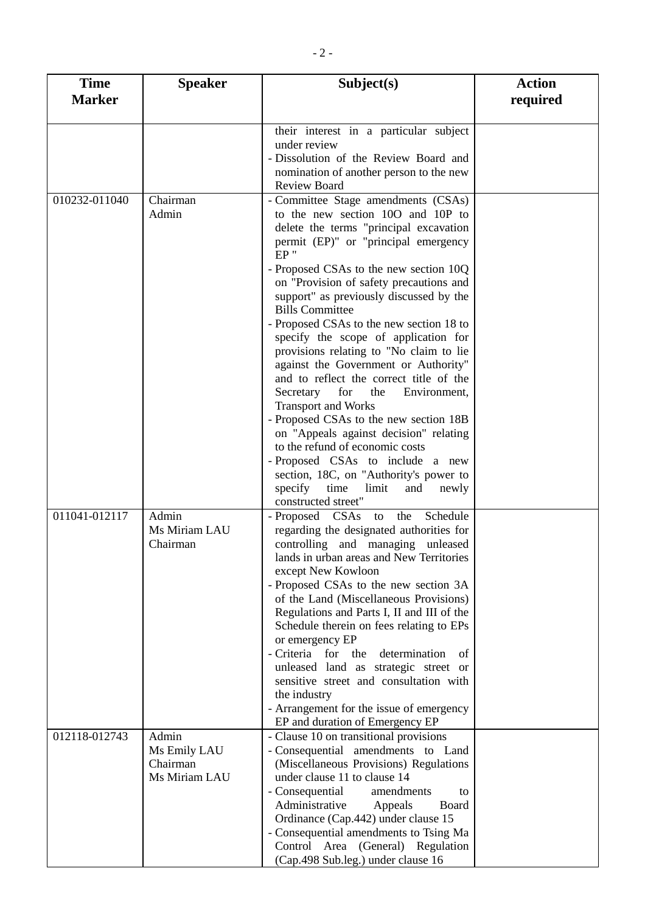| <b>Time</b>   | <b>Speaker</b>                                     | Subject(s)                                                                                                                                                                                                                                                                                                                                                                                                                                                                                                                                                                                                                                                                                                                                                                                                                                                                                        | <b>Action</b> |
|---------------|----------------------------------------------------|---------------------------------------------------------------------------------------------------------------------------------------------------------------------------------------------------------------------------------------------------------------------------------------------------------------------------------------------------------------------------------------------------------------------------------------------------------------------------------------------------------------------------------------------------------------------------------------------------------------------------------------------------------------------------------------------------------------------------------------------------------------------------------------------------------------------------------------------------------------------------------------------------|---------------|
| <b>Marker</b> |                                                    |                                                                                                                                                                                                                                                                                                                                                                                                                                                                                                                                                                                                                                                                                                                                                                                                                                                                                                   | required      |
|               |                                                    | their interest in a particular subject<br>under review<br>- Dissolution of the Review Board and<br>nomination of another person to the new                                                                                                                                                                                                                                                                                                                                                                                                                                                                                                                                                                                                                                                                                                                                                        |               |
| 010232-011040 | Chairman<br>Admin                                  | <b>Review Board</b><br>- Committee Stage amendments (CSAs)<br>to the new section 100 and 10P to<br>delete the terms "principal excavation<br>permit (EP)" or "principal emergency<br>$EP$ "<br>- Proposed CSAs to the new section 10Q<br>on "Provision of safety precautions and<br>support" as previously discussed by the<br><b>Bills Committee</b><br>- Proposed CSAs to the new section 18 to<br>specify the scope of application for<br>provisions relating to "No claim to lie<br>against the Government or Authority"<br>and to reflect the correct title of the<br>for<br>Secretary<br>the<br>Environment,<br><b>Transport and Works</b><br>- Proposed CSAs to the new section 18B<br>on "Appeals against decision" relating<br>to the refund of economic costs<br>- Proposed CSAs to include a new<br>section, 18C, on "Authority's power to<br>specify<br>time<br>limit<br>and<br>newly |               |
| 011041-012117 | Admin<br>Ms Miriam LAU<br>Chairman                 | constructed street"<br>- Proposed CSAs to<br>Schedule<br>the<br>regarding the designated authorities for<br>controlling and managing unleased<br>lands in urban areas and New Territories<br>except New Kowloon<br>- Proposed CSAs to the new section 3A<br>of the Land (Miscellaneous Provisions)<br>Regulations and Parts I, II and III of the<br>Schedule therein on fees relating to EPs<br>or emergency EP<br>determination<br>- Criteria for the<br>of<br>unleased land as strategic street or<br>sensitive street and consultation with<br>the industry<br>- Arrangement for the issue of emergency<br>EP and duration of Emergency EP                                                                                                                                                                                                                                                     |               |
| 012118-012743 | Admin<br>Ms Emily LAU<br>Chairman<br>Ms Miriam LAU | - Clause 10 on transitional provisions<br>- Consequential amendments to Land<br>(Miscellaneous Provisions) Regulations<br>under clause 11 to clause 14<br>- Consequential<br>amendments<br>to<br>Administrative<br>Appeals<br>Board<br>Ordinance (Cap.442) under clause 15<br>- Consequential amendments to Tsing Ma<br>Control Area (General) Regulation<br>(Cap.498 Sub.leg.) under clause 16                                                                                                                                                                                                                                                                                                                                                                                                                                                                                                   |               |